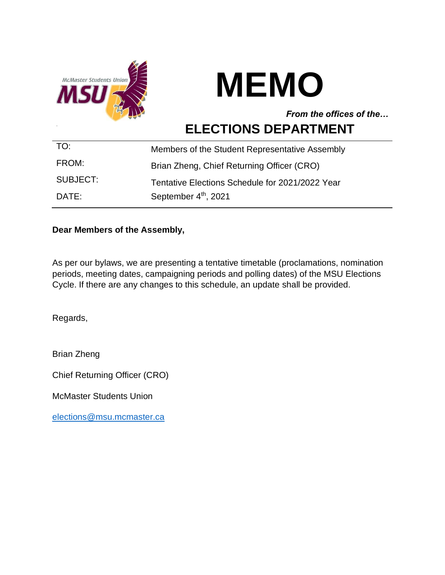



## *From the offices of the…*

**ELECTIONS DEPARTMENT**

| TO:      | Members of the Student Representative Assembly  |
|----------|-------------------------------------------------|
| FROM:    | Brian Zheng, Chief Returning Officer (CRO)      |
| SUBJECT: | Tentative Elections Schedule for 2021/2022 Year |
| DATE:    | September 4 <sup>th</sup> , 2021                |

#### **Dear Members of the Assembly,**

As per our bylaws, we are presenting a tentative timetable (proclamations, nomination periods, meeting dates, campaigning periods and polling dates) of the MSU Elections Cycle. If there are any changes to this schedule, an update shall be provided.

Regards,

Brian Zheng

Chief Returning Officer (CRO)

McMaster Students Union

[elections@msu.mcmaster.ca](mailto:elections@msu.mcmaster.ca)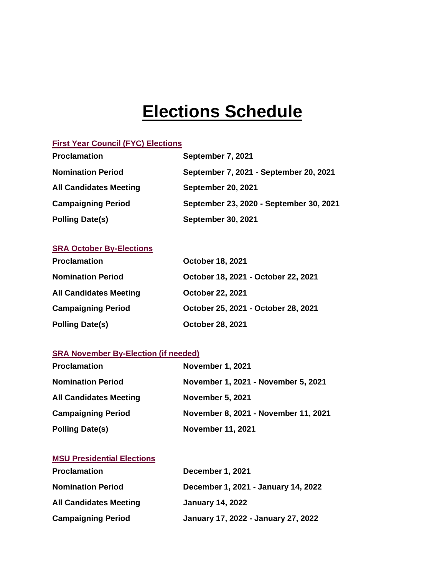# **Elections Schedule**

#### **First Year Council (FYC) Elections**

| <b>Proclamation</b>           | September 7, 2021                       |
|-------------------------------|-----------------------------------------|
| <b>Nomination Period</b>      | September 7, 2021 - September 20, 2021  |
| <b>All Candidates Meeting</b> | <b>September 20, 2021</b>               |
| <b>Campaigning Period</b>     | September 23, 2020 - September 30, 2021 |
| <b>Polling Date(s)</b>        | <b>September 30, 2021</b>               |

#### **SRA October By-Elections**

| <b>Proclamation</b>           | <b>October 18, 2021</b>             |
|-------------------------------|-------------------------------------|
| <b>Nomination Period</b>      | October 18, 2021 - October 22, 2021 |
| <b>All Candidates Meeting</b> | <b>October 22, 2021</b>             |
| <b>Campaigning Period</b>     | October 25, 2021 - October 28, 2021 |
| <b>Polling Date(s)</b>        | <b>October 28, 2021</b>             |

#### **SRA November By-Election (if needed)**

| <b>Proclamation</b>           | <b>November 1, 2021</b>              |
|-------------------------------|--------------------------------------|
| <b>Nomination Period</b>      | November 1, 2021 - November 5, 2021  |
| <b>All Candidates Meeting</b> | <b>November 5, 2021</b>              |
| <b>Campaigning Period</b>     | November 8, 2021 - November 11, 2021 |
| <b>Polling Date(s)</b>        | <b>November 11, 2021</b>             |

#### **MSU Presidential Elections**

| <b>Proclamation</b>           | December 1, 2021                    |
|-------------------------------|-------------------------------------|
| <b>Nomination Period</b>      | December 1, 2021 - January 14, 2022 |
| <b>All Candidates Meeting</b> | <b>January 14, 2022</b>             |
| <b>Campaigning Period</b>     | January 17, 2022 - January 27, 2022 |